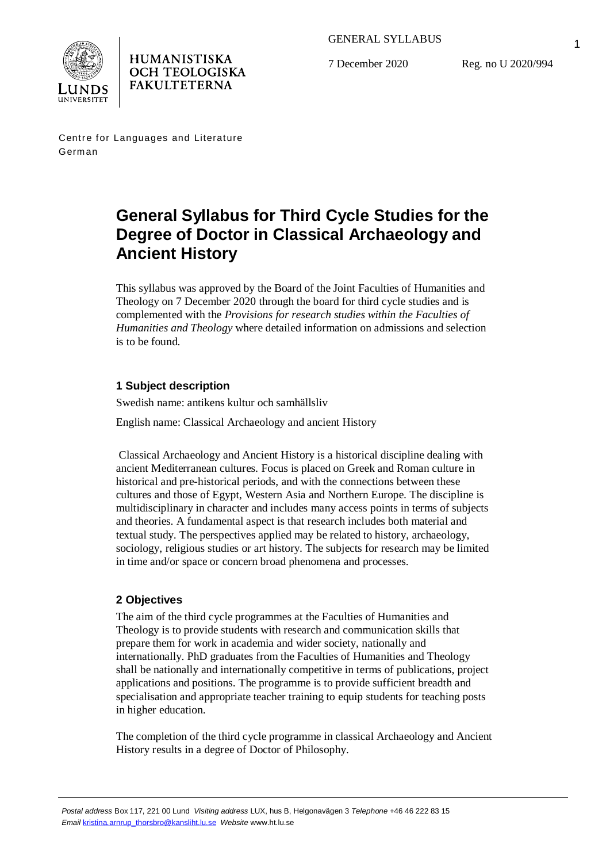



GENERAL SYLLABUS

7 December 2020

Reg. no U 2020/994

Centre for Languages and Literature German

# **General Syllabus for Third Cycle Studies for the Degree of Doctor in Classical Archaeology and Ancient History**

This syllabus was approved by the Board of the Joint Faculties of Humanities and Theology on 7 December 2020 through the board for third cycle studies and is complemented with the *Provisions for research studies within the Faculties of Humanities and Theology* where detailed information on admissions and selection is to be found.

# **1 Subject description**

Swedish name: antikens kultur och samhällsliv

English name: Classical Archaeology and ancient History

 Classical Archaeology and Ancient History is a historical discipline dealing with ancient Mediterranean cultures. Focus is placed on Greek and Roman culture in historical and pre-historical periods, and with the connections between these cultures and those of Egypt, Western Asia and Northern Europe. The discipline is multidisciplinary in character and includes many access points in terms of subjects and theories. A fundamental aspect is that research includes both material and textual study. The perspectives applied may be related to history, archaeology, sociology, religious studies or art history. The subjects for research may be limited in time and/or space or concern broad phenomena and processes.

# **2 Objectives**

The aim of the third cycle programmes at the Faculties of Humanities and Theology is to provide students with research and communication skills that prepare them for work in academia and wider society, nationally and internationally. PhD graduates from the Faculties of Humanities and Theology shall be nationally and internationally competitive in terms of publications, project applications and positions. The programme is to provide sufficient breadth and specialisation and appropriate teacher training to equip students for teaching posts in higher education.

The completion of the third cycle programme in classical Archaeology and Ancient History results in a degree of Doctor of Philosophy.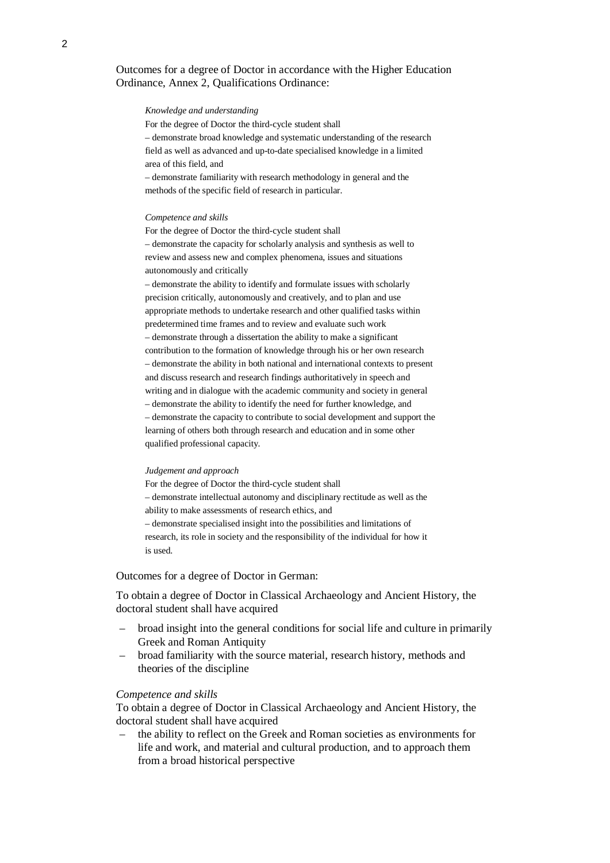## Outcomes for a degree of Doctor in accordance with the Higher Education Ordinance, Annex 2, Qualifications Ordinance:

#### *Knowledge and understanding*

For the degree of Doctor the third-cycle student shall

– demonstrate broad knowledge and systematic understanding of the research field as well as advanced and up-to-date specialised knowledge in a limited area of this field, and

– demonstrate familiarity with research methodology in general and the methods of the specific field of research in particular.

#### *Competence and skills*

For the degree of Doctor the third-cycle student shall – demonstrate the capacity for scholarly analysis and synthesis as well to review and assess new and complex phenomena, issues and situations autonomously and critically

– demonstrate the ability to identify and formulate issues with scholarly precision critically, autonomously and creatively, and to plan and use appropriate methods to undertake research and other qualified tasks within predetermined time frames and to review and evaluate such work – demonstrate through a dissertation the ability to make a significant contribution to the formation of knowledge through his or her own research – demonstrate the ability in both national and international contexts to present and discuss research and research findings authoritatively in speech and writing and in dialogue with the academic community and society in general – demonstrate the ability to identify the need for further knowledge, and – demonstrate the capacity to contribute to social development and support the learning of others both through research and education and in some other qualified professional capacity.

#### *Judgement and approach*

For the degree of Doctor the third-cycle student shall – demonstrate intellectual autonomy and disciplinary rectitude as well as the ability to make assessments of research ethics, and – demonstrate specialised insight into the possibilities and limitations of research, its role in society and the responsibility of the individual for how it is used.

#### Outcomes for a degree of Doctor in German:

To obtain a degree of Doctor in Classical Archaeology and Ancient History, the doctoral student shall have acquired

- broad insight into the general conditions for social life and culture in primarily Greek and Roman Antiquity
- broad familiarity with the source material, research history, methods and theories of the discipline

#### *Competence and skills*

To obtain a degree of Doctor in Classical Archaeology and Ancient History, the doctoral student shall have acquired

– the ability to reflect on the Greek and Roman societies as environments for life and work, and material and cultural production, and to approach them from a broad historical perspective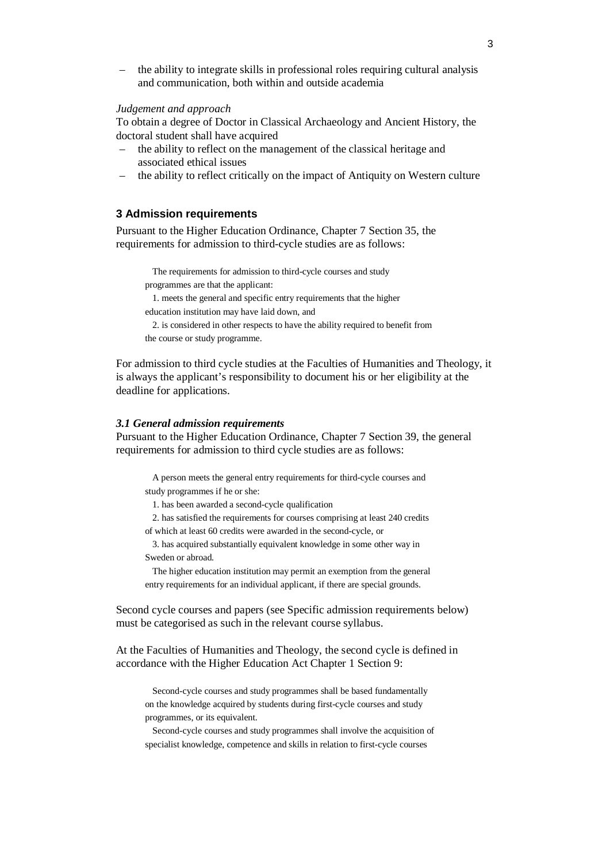– the ability to integrate skills in professional roles requiring cultural analysis and communication, both within and outside academia

## *Judgement and approach*

To obtain a degree of Doctor in Classical Archaeology and Ancient History, the doctoral student shall have acquired

- the ability to reflect on the management of the classical heritage and associated ethical issues
- the ability to reflect critically on the impact of Antiquity on Western culture

## **3 Admission requirements**

Pursuant to the Higher Education Ordinance, Chapter 7 Section 35, the requirements for admission to third-cycle studies are as follows:

The requirements for admission to third-cycle courses and study programmes are that the applicant:

1. meets the general and specific entry requirements that the higher

education institution may have laid down, and

2. is considered in other respects to have the ability required to benefit from the course or study programme.

For admission to third cycle studies at the Faculties of Humanities and Theology, it is always the applicant's responsibility to document his or her eligibility at the deadline for applications.

#### *3.1 General admission requirements*

Pursuant to the Higher Education Ordinance, Chapter 7 Section 39, the general requirements for admission to third cycle studies are as follows:

A person meets the general entry requirements for third-cycle courses and study programmes if he or she:

1. has been awarded a second-cycle qualification

2. has satisfied the requirements for courses comprising at least 240 credits of which at least 60 credits were awarded in the second-cycle, or

3. has acquired substantially equivalent knowledge in some other way in Sweden or abroad.

The higher education institution may permit an exemption from the general entry requirements for an individual applicant, if there are special grounds.

Second cycle courses and papers (see Specific admission requirements below) must be categorised as such in the relevant course syllabus.

At the Faculties of Humanities and Theology, the second cycle is defined in accordance with the Higher Education Act Chapter 1 Section 9:

Second-cycle courses and study programmes shall be based fundamentally on the knowledge acquired by students during first-cycle courses and study programmes, or its equivalent.

Second-cycle courses and study programmes shall involve the acquisition of specialist knowledge, competence and skills in relation to first-cycle courses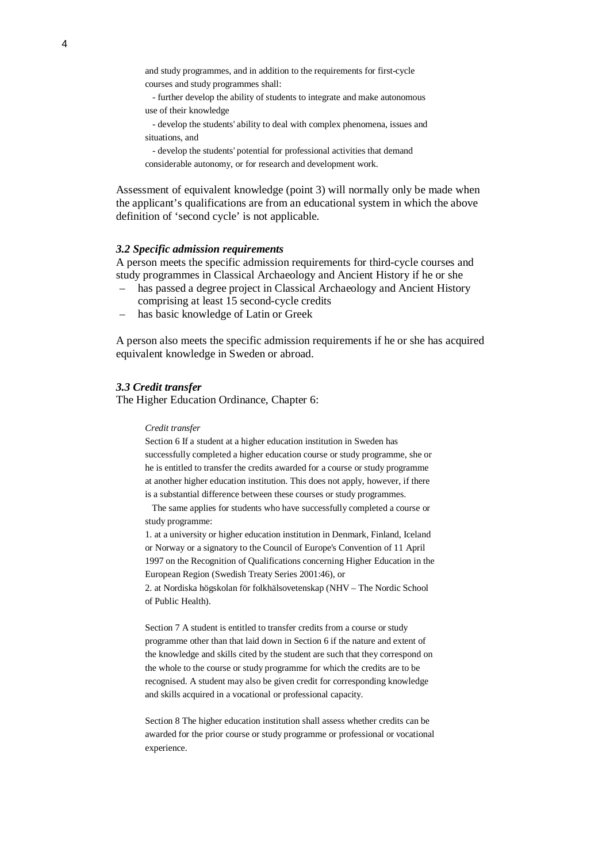and study programmes, and in addition to the requirements for first-cycle courses and study programmes shall:

- further develop the ability of students to integrate and make autonomous use of their knowledge

- develop the students' ability to deal with complex phenomena, issues and situations, and

- develop the students' potential for professional activities that demand considerable autonomy, or for research and development work.

Assessment of equivalent knowledge (point 3) will normally only be made when the applicant's qualifications are from an educational system in which the above definition of 'second cycle' is not applicable.

#### *3.2 Specific admission requirements*

A person meets the specific admission requirements for third-cycle courses and study programmes in Classical Archaeology and Ancient History if he or she

- has passed a degree project in Classical Archaeology and Ancient History comprising at least 15 second-cycle credits
- has basic knowledge of Latin or Greek

A person also meets the specific admission requirements if he or she has acquired equivalent knowledge in Sweden or abroad.

## *3.3 Credit transfer*

The Higher Education Ordinance, Chapter 6:

#### *Credit transfer*

Section 6 If a student at a higher education institution in Sweden has successfully completed a higher education course or study programme, she or he is entitled to transfer the credits awarded for a course or study programme at another higher education institution. This does not apply, however, if there is a substantial difference between these courses or study programmes.

 The same applies for students who have successfully completed a course or study programme:

1. at a university or higher education institution in Denmark, Finland, Iceland or Norway or a signatory to the Council of Europe's Convention of 11 April 1997 on the Recognition of Qualifications concerning Higher Education in the European Region (Swedish Treaty Series 2001:46), or

2. at Nordiska högskolan för folkhälsovetenskap (NHV – The Nordic School of Public Health).

Section 7 A student is entitled to transfer credits from a course or study programme other than that laid down in Section 6 if the nature and extent of the knowledge and skills cited by the student are such that they correspond on the whole to the course or study programme for which the credits are to be recognised. A student may also be given credit for corresponding knowledge and skills acquired in a vocational or professional capacity.

Section 8 The higher education institution shall assess whether credits can be awarded for the prior course or study programme or professional or vocational experience.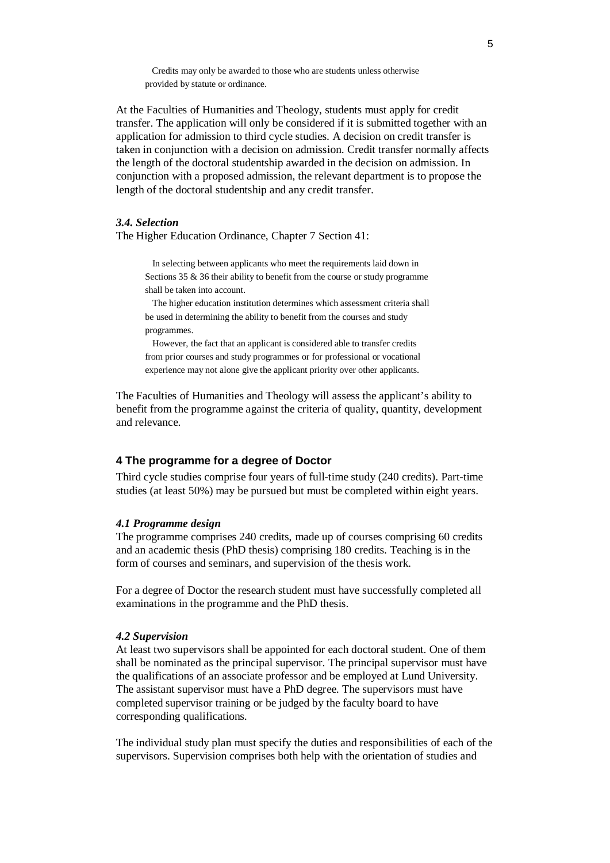Credits may only be awarded to those who are students unless otherwise provided by statute or ordinance.

At the Faculties of Humanities and Theology, students must apply for credit transfer. The application will only be considered if it is submitted together with an application for admission to third cycle studies. A decision on credit transfer is taken in conjunction with a decision on admission. Credit transfer normally affects the length of the doctoral studentship awarded in the decision on admission. In conjunction with a proposed admission, the relevant department is to propose the length of the doctoral studentship and any credit transfer.

## *3.4. Selection*

The Higher Education Ordinance, Chapter 7 Section 41:

In selecting between applicants who meet the requirements laid down in Sections 35 & 36 their ability to benefit from the course or study programme shall be taken into account.

The higher education institution determines which assessment criteria shall be used in determining the ability to benefit from the courses and study programmes.

However, the fact that an applicant is considered able to transfer credits from prior courses and study programmes or for professional or vocational experience may not alone give the applicant priority over other applicants.

The Faculties of Humanities and Theology will assess the applicant's ability to benefit from the programme against the criteria of quality, quantity, development and relevance.

## **4 The programme for a degree of Doctor**

Third cycle studies comprise four years of full-time study (240 credits). Part-time studies (at least 50%) may be pursued but must be completed within eight years.

## *4.1 Programme design*

The programme comprises 240 credits, made up of courses comprising 60 credits and an academic thesis (PhD thesis) comprising 180 credits. Teaching is in the form of courses and seminars, and supervision of the thesis work.

For a degree of Doctor the research student must have successfully completed all examinations in the programme and the PhD thesis.

### *4.2 Supervision*

At least two supervisors shall be appointed for each doctoral student. One of them shall be nominated as the principal supervisor. The principal supervisor must have the qualifications of an associate professor and be employed at Lund University. The assistant supervisor must have a PhD degree. The supervisors must have completed supervisor training or be judged by the faculty board to have corresponding qualifications.

The individual study plan must specify the duties and responsibilities of each of the supervisors. Supervision comprises both help with the orientation of studies and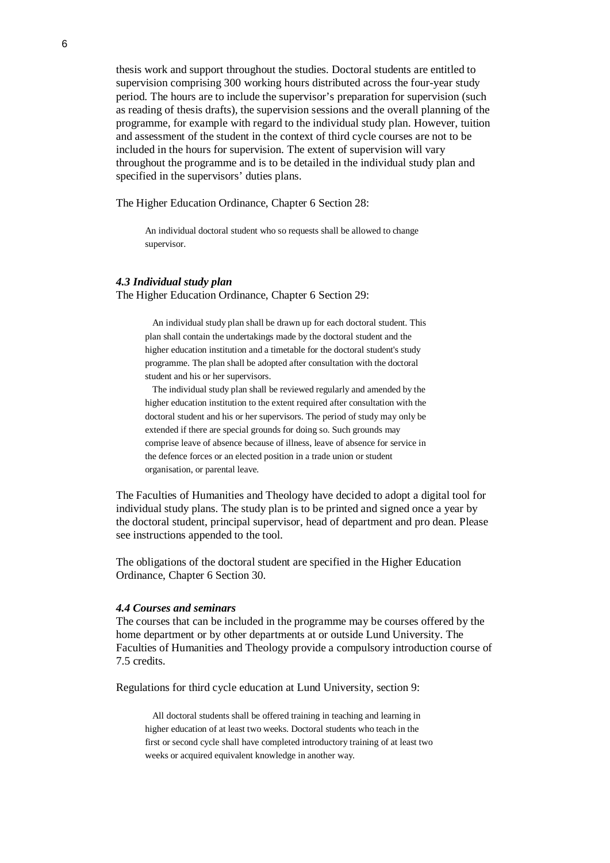thesis work and support throughout the studies. Doctoral students are entitled to supervision comprising 300 working hours distributed across the four-year study period. The hours are to include the supervisor's preparation for supervision (such as reading of thesis drafts), the supervision sessions and the overall planning of the programme, for example with regard to the individual study plan. However, tuition and assessment of the student in the context of third cycle courses are not to be included in the hours for supervision. The extent of supervision will vary throughout the programme and is to be detailed in the individual study plan and specified in the supervisors' duties plans.

The Higher Education Ordinance, Chapter 6 Section 28:

An individual doctoral student who so requests shall be allowed to change supervisor.

#### *4.3 Individual study plan*

The Higher Education Ordinance, Chapter 6 Section 29:

An individual study plan shall be drawn up for each doctoral student. This plan shall contain the undertakings made by the doctoral student and the higher education institution and a timetable for the doctoral student's study programme. The plan shall be adopted after consultation with the doctoral student and his or her supervisors.

The individual study plan shall be reviewed regularly and amended by the higher education institution to the extent required after consultation with the doctoral student and his or her supervisors. The period of study may only be extended if there are special grounds for doing so. Such grounds may comprise leave of absence because of illness, leave of absence for service in the defence forces or an elected position in a trade union or student organisation, or parental leave.

The Faculties of Humanities and Theology have decided to adopt a digital tool for individual study plans. The study plan is to be printed and signed once a year by the doctoral student, principal supervisor, head of department and pro dean. Please see instructions appended to the tool.

The obligations of the doctoral student are specified in the Higher Education Ordinance, Chapter 6 Section 30.

#### *4.4 Courses and seminars*

The courses that can be included in the programme may be courses offered by the home department or by other departments at or outside Lund University. The Faculties of Humanities and Theology provide a compulsory introduction course of 7.5 credits.

Regulations for third cycle education at Lund University, section 9:

All doctoral students shall be offered training in teaching and learning in higher education of at least two weeks. Doctoral students who teach in the first or second cycle shall have completed introductory training of at least two weeks or acquired equivalent knowledge in another way.